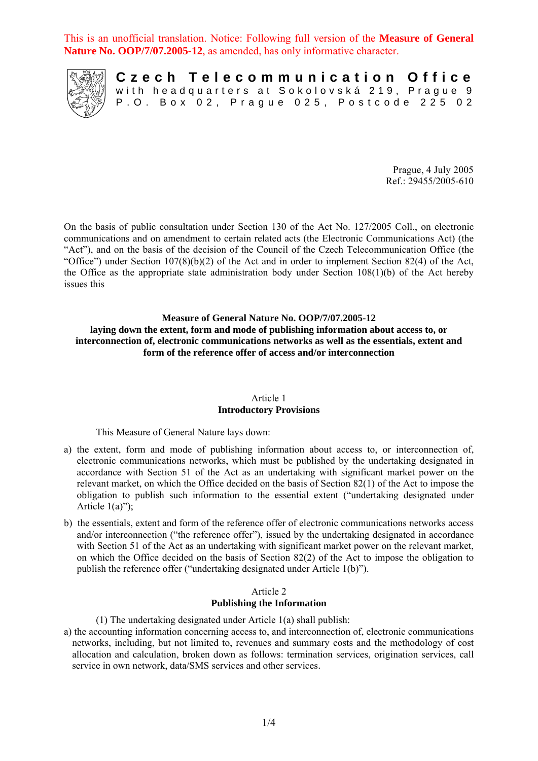This is an unofficial translation. Notice: Following full version of the **Measure of General Nature No. OOP/7/07.2005-12**, as amended, has only informative character.



**Czech Telecommunication Office** with headquarters at Sokolovská 219, Prague 9 P.O. Box 02, Prague 025, Postcode 225 02

> Prague, 4 July 2005 Ref.: 29455/2005-610

On the basis of public consultation under Section 130 of the Act No. 127/2005 Coll., on electronic communications and on amendment to certain related acts (the Electronic Communications Act) (the "Act"), and on the basis of the decision of the Council of the Czech Telecommunication Office (the "Office") under Section 107(8)(b)(2) of the Act and in order to implement Section 82(4) of the Act, the Office as the appropriate state administration body under Section 108(1)(b) of the Act hereby issues this

### **Measure of General Nature No. OOP/7/07.2005-12 laying down the extent, form and mode of publishing information about access to, or interconnection of, electronic communications networks as well as the essentials, extent and form of the reference offer of access and/or interconnection**

#### Article 1 **Introductory Provisions**

This Measure of General Nature lays down:

- a) the extent, form and mode of publishing information about access to, or interconnection of, electronic communications networks, which must be published by the undertaking designated in accordance with Section 51 of the Act as an undertaking with significant market power on the relevant market, on which the Office decided on the basis of Section 82(1) of the Act to impose the obligation to publish such information to the essential extent ("undertaking designated under Article  $1(a)$ ");
- b) the essentials, extent and form of the reference offer of electronic communications networks access and/or interconnection ("the reference offer"), issued by the undertaking designated in accordance with Section 51 of the Act as an undertaking with significant market power on the relevant market, on which the Office decided on the basis of Section 82(2) of the Act to impose the obligation to publish the reference offer ("undertaking designated under Article 1(b)").

### Article 2 **Publishing the Information**

(1) The undertaking designated under Article 1(a) shall publish:

a) the accounting information concerning access to, and interconnection of, electronic communications networks, including, but not limited to, revenues and summary costs and the methodology of cost allocation and calculation, broken down as follows: termination services, origination services, call service in own network, data/SMS services and other services.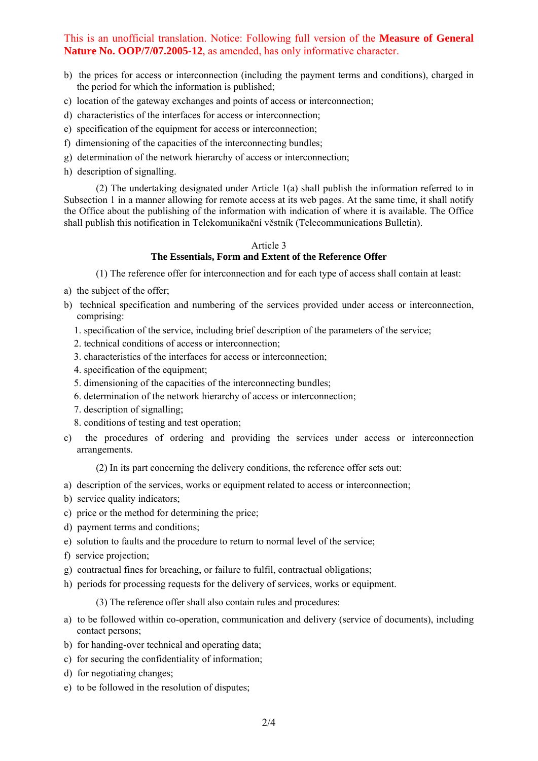# This is an unofficial translation. Notice: Following full version of the **Measure of General Nature No. OOP/7/07.2005-12**, as amended, has only informative character.

- b) the prices for access or interconnection (including the payment terms and conditions), charged in the period for which the information is published;
- c) location of the gateway exchanges and points of access or interconnection;
- d) characteristics of the interfaces for access or interconnection;
- e) specification of the equipment for access or interconnection;
- f) dimensioning of the capacities of the interconnecting bundles;
- g) determination of the network hierarchy of access or interconnection;
- h) description of signalling.

(2) The undertaking designated under Article 1(a) shall publish the information referred to in Subsection 1 in a manner allowing for remote access at its web pages. At the same time, it shall notify the Office about the publishing of the information with indication of where it is available. The Office shall publish this notification in Telekomunikační věstník (Telecommunications Bulletin).

#### Article 3

### **The Essentials, Form and Extent of the Reference Offer**

(1) The reference offer for interconnection and for each type of access shall contain at least:

- a) the subject of the offer;
- b) technical specification and numbering of the services provided under access or interconnection, comprising:
	- 1. specification of the service, including brief description of the parameters of the service;
	- 2. technical conditions of access or interconnection;
	- 3. characteristics of the interfaces for access or interconnection;
	- 4. specification of the equipment;
	- 5. dimensioning of the capacities of the interconnecting bundles;
	- 6. determination of the network hierarchy of access or interconnection;
	- 7. description of signalling;
	- 8. conditions of testing and test operation;
- c) the procedures of ordering and providing the services under access or interconnection arrangements.

(2) In its part concerning the delivery conditions, the reference offer sets out:

- a) description of the services, works or equipment related to access or interconnection;
- b) service quality indicators;
- c) price or the method for determining the price;
- d) payment terms and conditions;
- e) solution to faults and the procedure to return to normal level of the service;
- f) service projection;
- g) contractual fines for breaching, or failure to fulfil, contractual obligations;
- h) periods for processing requests for the delivery of services, works or equipment.

(3) The reference offer shall also contain rules and procedures:

- a) to be followed within co-operation, communication and delivery (service of documents), including contact persons;
- b) for handing-over technical and operating data;
- c) for securing the confidentiality of information;
- d) for negotiating changes;
- e) to be followed in the resolution of disputes;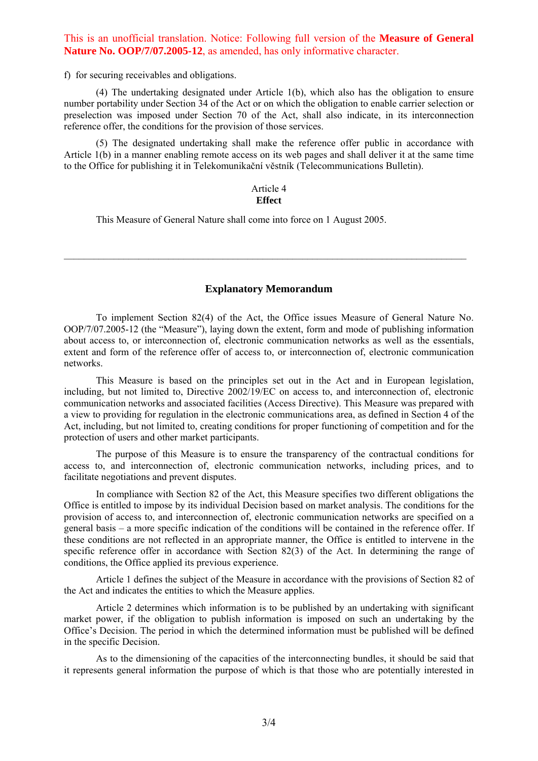### This is an unofficial translation. Notice: Following full version of the **Measure of General Nature No. OOP/7/07.2005-12** as amended, has only informative character.

f) for securing receivables and obligations.

(4) The undertaking designated under Article 1(b), which also has the obligation to ensure number portability under Section 34 of the Act or on which the obligation to enable carrier selection or preselection was imposed under Section 70 of the Act, shall also indicate, in its interconnection reference offer, the conditions for the provision of those services.

(5) The designated undertaking shall make the reference offer public in accordance with Article 1(b) in a manner enabling remote access on its web pages and shall deliver it at the same time to the Office for publishing it in Telekomunikační věstník (Telecommunications Bulletin).

#### Article 4 **Effect**

This Measure of General Nature shall come into force on 1 August 2005.

#### **Explanatory Memorandum**

 $\mathcal{L}_\mathcal{L} = \{ \mathcal{L}_\mathcal{L} = \{ \mathcal{L}_\mathcal{L} = \{ \mathcal{L}_\mathcal{L} = \{ \mathcal{L}_\mathcal{L} = \{ \mathcal{L}_\mathcal{L} = \{ \mathcal{L}_\mathcal{L} = \{ \mathcal{L}_\mathcal{L} = \{ \mathcal{L}_\mathcal{L} = \{ \mathcal{L}_\mathcal{L} = \{ \mathcal{L}_\mathcal{L} = \{ \mathcal{L}_\mathcal{L} = \{ \mathcal{L}_\mathcal{L} = \{ \mathcal{L}_\mathcal{L} = \{ \mathcal{L}_\mathcal{$ 

To implement Section 82(4) of the Act, the Office issues Measure of General Nature No. OOP/7/07.2005-12 (the "Measure"), laying down the extent, form and mode of publishing information about access to, or interconnection of, electronic communication networks as well as the essentials, extent and form of the reference offer of access to, or interconnection of, electronic communication networks.

This Measure is based on the principles set out in the Act and in European legislation, including, but not limited to, Directive 2002/19/EC on access to, and interconnection of, electronic communication networks and associated facilities (Access Directive). This Measure was prepared with a view to providing for regulation in the electronic communications area, as defined in Section 4 of the Act, including, but not limited to, creating conditions for proper functioning of competition and for the protection of users and other market participants.

The purpose of this Measure is to ensure the transparency of the contractual conditions for access to, and interconnection of, electronic communication networks, including prices, and to facilitate negotiations and prevent disputes.

In compliance with Section 82 of the Act, this Measure specifies two different obligations the Office is entitled to impose by its individual Decision based on market analysis. The conditions for the provision of access to, and interconnection of, electronic communication networks are specified on a general basis – a more specific indication of the conditions will be contained in the reference offer. If these conditions are not reflected in an appropriate manner, the Office is entitled to intervene in the specific reference offer in accordance with Section 82(3) of the Act. In determining the range of conditions, the Office applied its previous experience.

Article 1 defines the subject of the Measure in accordance with the provisions of Section 82 of the Act and indicates the entities to which the Measure applies.

Article 2 determines which information is to be published by an undertaking with significant market power, if the obligation to publish information is imposed on such an undertaking by the Office's Decision. The period in which the determined information must be published will be defined in the specific Decision.

As to the dimensioning of the capacities of the interconnecting bundles, it should be said that it represents general information the purpose of which is that those who are potentially interested in